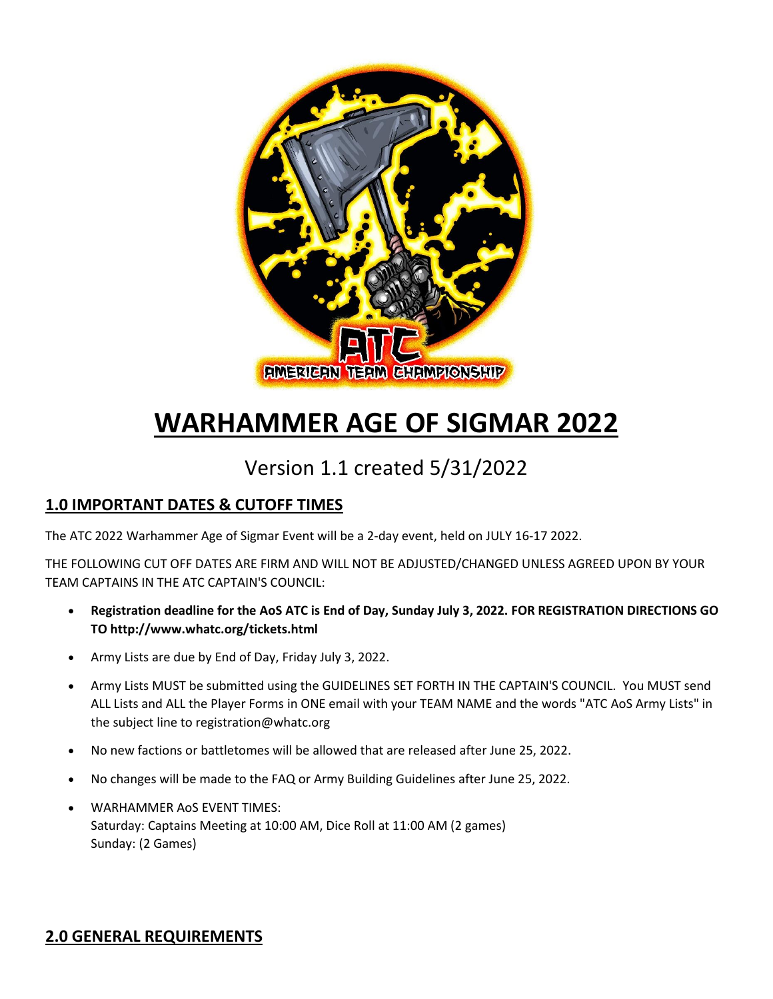

# **WARHAMMER AGE OF SIGMAR 2022**

## Version 1.1 created 5/31/2022

## **1.0 IMPORTANT DATES & CUTOFF TIMES**

The ATC 2022 Warhammer Age of Sigmar Event will be a 2-day event, held on JULY 16-17 2022.

THE FOLLOWING CUT OFF DATES ARE FIRM AND WILL NOT BE ADJUSTED/CHANGED UNLESS AGREED UPON BY YOUR TEAM CAPTAINS IN THE ATC CAPTAIN'S COUNCIL:

- **Registration deadline for the AoS ATC is End of Day, Sunday July 3, 2022. FOR REGISTRATION DIRECTIONS GO TO http://www.whatc.org/tickets.html**
- Army Lists are due by End of Day, Friday July 3, 2022.
- Army Lists MUST be submitted using the GUIDELINES SET FORTH IN THE CAPTAIN'S COUNCIL. You MUST send ALL Lists and ALL the Player Forms in ONE email with your TEAM NAME and the words "ATC AoS Army Lists" in the subject line to registration@whatc.org
- No new factions or battletomes will be allowed that are released after June 25, 2022.
- No changes will be made to the FAQ or Army Building Guidelines after June 25, 2022.
- WARHAMMER AoS EVENT TIMES: Saturday: Captains Meeting at 10:00 AM, Dice Roll at 11:00 AM (2 games) Sunday: (2 Games)

## **2.0 GENERAL REQUIREMENTS**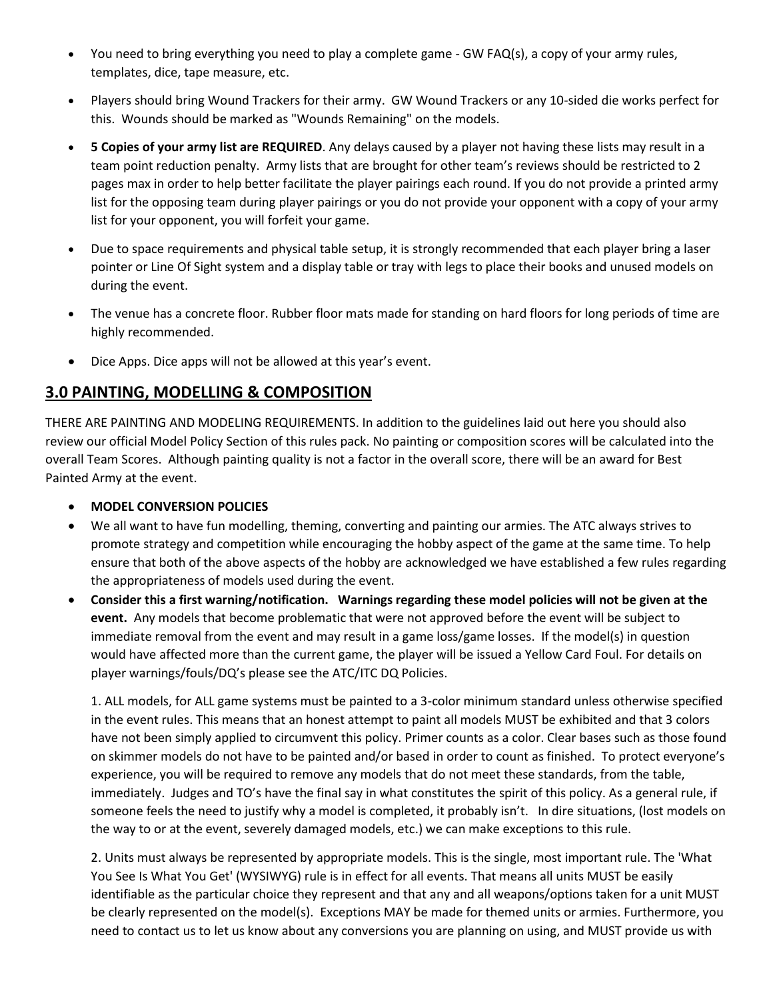- You need to bring everything you need to play a complete game GW FAQ(s), a copy of your army rules, templates, dice, tape measure, etc.
- Players should bring Wound Trackers for their army. GW Wound Trackers or any 10-sided die works perfect for this. Wounds should be marked as "Wounds Remaining" on the models.
- **5 Copies of your army list are REQUIRED**. Any delays caused by a player not having these lists may result in a team point reduction penalty. Army lists that are brought for other team's reviews should be restricted to 2 pages max in order to help better facilitate the player pairings each round. If you do not provide a printed army list for the opposing team during player pairings or you do not provide your opponent with a copy of your army list for your opponent, you will forfeit your game.
- Due to space requirements and physical table setup, it is strongly recommended that each player bring a laser pointer or Line Of Sight system and a display table or tray with legs to place their books and unused models on during the event.
- The venue has a concrete floor. Rubber floor mats made for standing on hard floors for long periods of time are highly recommended.
- Dice Apps. Dice apps will not be allowed at this year's event.

## **3.0 PAINTING, MODELLING & COMPOSITION**

THERE ARE PAINTING AND MODELING REQUIREMENTS. In addition to the guidelines laid out here you should also review our official Model Policy Section of this rules pack. No painting or composition scores will be calculated into the overall Team Scores. Although painting quality is not a factor in the overall score, there will be an award for Best Painted Army at the event.

#### • **MODEL CONVERSION POLICIES**

- We all want to have fun modelling, theming, converting and painting our armies. The ATC always strives to promote strategy and competition while encouraging the hobby aspect of the game at the same time. To help ensure that both of the above aspects of the hobby are acknowledged we have established a few rules regarding the appropriateness of models used during the event.
- **Consider this a first warning/notification. Warnings regarding these model policies will not be given at the event.** Any models that become problematic that were not approved before the event will be subject to immediate removal from the event and may result in a game loss/game losses. If the model(s) in question would have affected more than the current game, the player will be issued a Yellow Card Foul. For details on player warnings/fouls/DQ's please see the ATC/ITC DQ Policies.

1. ALL models, for ALL game systems must be painted to a 3-color minimum standard unless otherwise specified in the event rules. This means that an honest attempt to paint all models MUST be exhibited and that 3 colors have not been simply applied to circumvent this policy. Primer counts as a color. Clear bases such as those found on skimmer models do not have to be painted and/or based in order to count as finished. To protect everyone's experience, you will be required to remove any models that do not meet these standards, from the table, immediately. Judges and TO's have the final say in what constitutes the spirit of this policy. As a general rule, if someone feels the need to justify why a model is completed, it probably isn't. In dire situations, (lost models on the way to or at the event, severely damaged models, etc.) we can make exceptions to this rule.

2. Units must always be represented by appropriate models. This is the single, most important rule. The 'What You See Is What You Get' (WYSIWYG) rule is in effect for all events. That means all units MUST be easily identifiable as the particular choice they represent and that any and all weapons/options taken for a unit MUST be clearly represented on the model(s). Exceptions MAY be made for themed units or armies. Furthermore, you need to contact us to let us know about any conversions you are planning on using, and MUST provide us with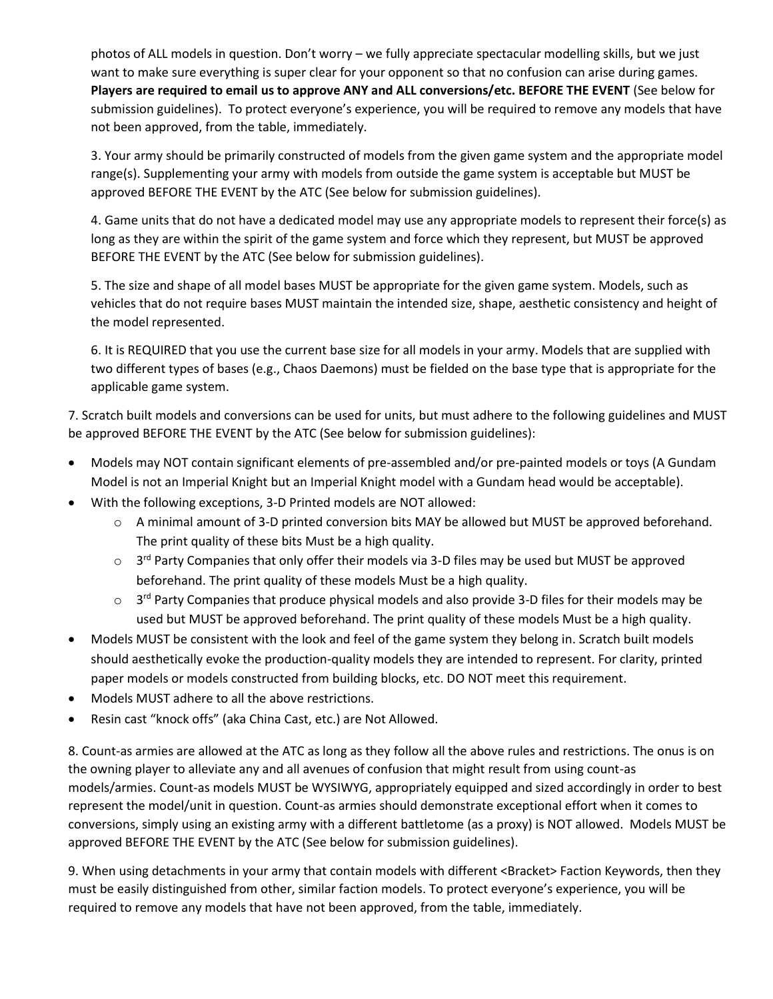photos of ALL models in question. Don't worry – we fully appreciate spectacular modelling skills, but we just want to make sure everything is super clear for your opponent so that no confusion can arise during games. **Players are required to email us to approve ANY and ALL conversions/etc. BEFORE THE EVENT** (See below for submission guidelines). To protect everyone's experience, you will be required to remove any models that have not been approved, from the table, immediately.

3. Your army should be primarily constructed of models from the given game system and the appropriate model range(s). Supplementing your army with models from outside the game system is acceptable but MUST be approved BEFORE THE EVENT by the ATC (See below for submission guidelines).

4. Game units that do not have a dedicated model may use any appropriate models to represent their force(s) as long as they are within the spirit of the game system and force which they represent, but MUST be approved BEFORE THE EVENT by the ATC (See below for submission guidelines).

5. The size and shape of all model bases MUST be appropriate for the given game system. Models, such as vehicles that do not require bases MUST maintain the intended size, shape, aesthetic consistency and height of the model represented.

6. It is REQUIRED that you use the current base size for all models in your army. Models that are supplied with two different types of bases (e.g., Chaos Daemons) must be fielded on the base type that is appropriate for the applicable game system.

7. Scratch built models and conversions can be used for units, but must adhere to the following guidelines and MUST be approved BEFORE THE EVENT by the ATC (See below for submission guidelines):

- Models may NOT contain significant elements of pre-assembled and/or pre-painted models or toys (A Gundam Model is not an Imperial Knight but an Imperial Knight model with a Gundam head would be acceptable).
- With the following exceptions, 3-D Printed models are NOT allowed:
	- o A minimal amount of 3-D printed conversion bits MAY be allowed but MUST be approved beforehand. The print quality of these bits Must be a high quality.
	- $\circ$  3<sup>rd</sup> Party Companies that only offer their models via 3-D files may be used but MUST be approved beforehand. The print quality of these models Must be a high quality.
	- $\circ$  3<sup>rd</sup> Party Companies that produce physical models and also provide 3-D files for their models may be used but MUST be approved beforehand. The print quality of these models Must be a high quality.
- Models MUST be consistent with the look and feel of the game system they belong in. Scratch built models should aesthetically evoke the production-quality models they are intended to represent. For clarity, printed paper models or models constructed from building blocks, etc. DO NOT meet this requirement.
- Models MUST adhere to all the above restrictions.
- Resin cast "knock offs" (aka China Cast, etc.) are Not Allowed.

8. Count-as armies are allowed at the ATC as long as they follow all the above rules and restrictions. The onus is on the owning player to alleviate any and all avenues of confusion that might result from using count-as models/armies. Count-as models MUST be WYSIWYG, appropriately equipped and sized accordingly in order to best represent the model/unit in question. Count-as armies should demonstrate exceptional effort when it comes to conversions, simply using an existing army with a different battletome (as a proxy) is NOT allowed. Models MUST be approved BEFORE THE EVENT by the ATC (See below for submission guidelines).

9. When using detachments in your army that contain models with different <Bracket> Faction Keywords, then they must be easily distinguished from other, similar faction models. To protect everyone's experience, you will be required to remove any models that have not been approved, from the table, immediately.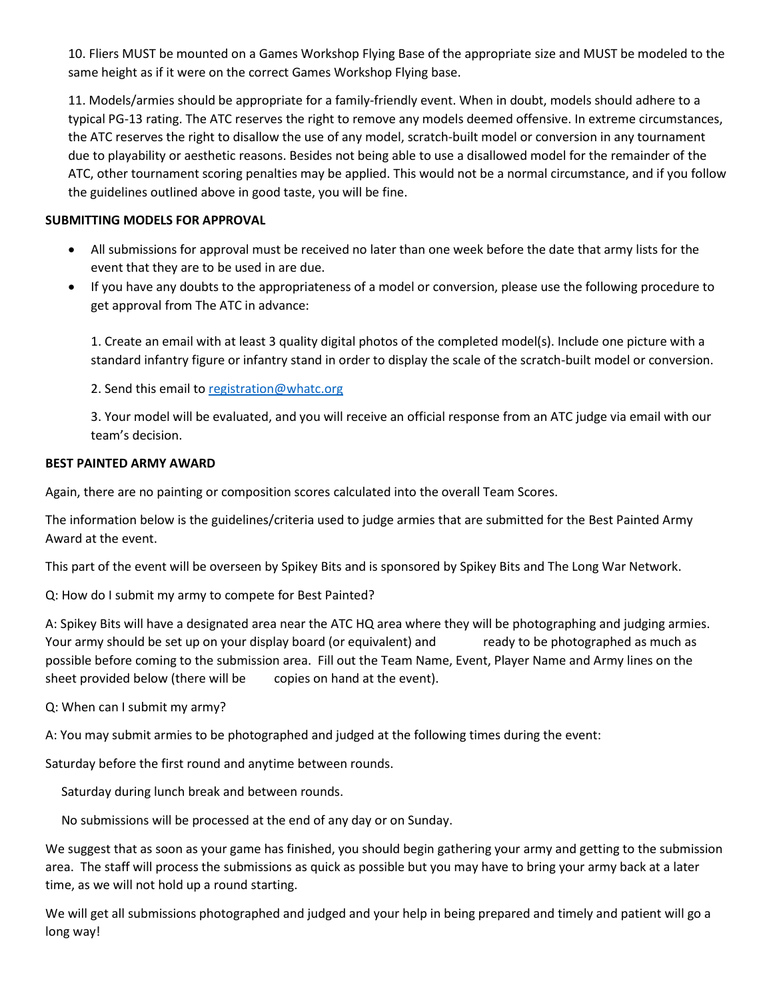10. Fliers MUST be mounted on a Games Workshop Flying Base of the appropriate size and MUST be modeled to the same height as if it were on the correct Games Workshop Flying base.

11. Models/armies should be appropriate for a family-friendly event. When in doubt, models should adhere to a typical PG-13 rating. The ATC reserves the right to remove any models deemed offensive. In extreme circumstances, the ATC reserves the right to disallow the use of any model, scratch-built model or conversion in any tournament due to playability or aesthetic reasons. Besides not being able to use a disallowed model for the remainder of the ATC, other tournament scoring penalties may be applied. This would not be a normal circumstance, and if you follow the guidelines outlined above in good taste, you will be fine.

#### **SUBMITTING MODELS FOR APPROVAL**

- All submissions for approval must be received no later than one week before the date that army lists for the event that they are to be used in are due.
- If you have any doubts to the appropriateness of a model or conversion, please use the following procedure to get approval from The ATC in advance:

1. Create an email with at least 3 quality digital photos of the completed model(s). Include one picture with a standard infantry figure or infantry stand in order to display the scale of the scratch-built model or conversion.

2. Send this email to [registration@whatc.org](mailto:registration@whatc.org)

3. Your model will be evaluated, and you will receive an official response from an ATC judge via email with our team's decision.

#### **BEST PAINTED ARMY AWARD**

Again, there are no painting or composition scores calculated into the overall Team Scores.

The information below is the guidelines/criteria used to judge armies that are submitted for the Best Painted Army Award at the event.

This part of the event will be overseen by Spikey Bits and is sponsored by Spikey Bits and The Long War Network.

Q: How do I submit my army to compete for Best Painted?

A: Spikey Bits will have a designated area near the ATC HQ area where they will be photographing and judging armies. Your army should be set up on your display board (or equivalent) and ready to be photographed as much as possible before coming to the submission area. Fill out the Team Name, Event, Player Name and Army lines on the sheet provided below (there will be copies on hand at the event).

Q: When can I submit my army?

A: You may submit armies to be photographed and judged at the following times during the event:

Saturday before the first round and anytime between rounds.

Saturday during lunch break and between rounds.

No submissions will be processed at the end of any day or on Sunday.

We suggest that as soon as your game has finished, you should begin gathering your army and getting to the submission area. The staff will process the submissions as quick as possible but you may have to bring your army back at a later time, as we will not hold up a round starting.

We will get all submissions photographed and judged and your help in being prepared and timely and patient will go a long way!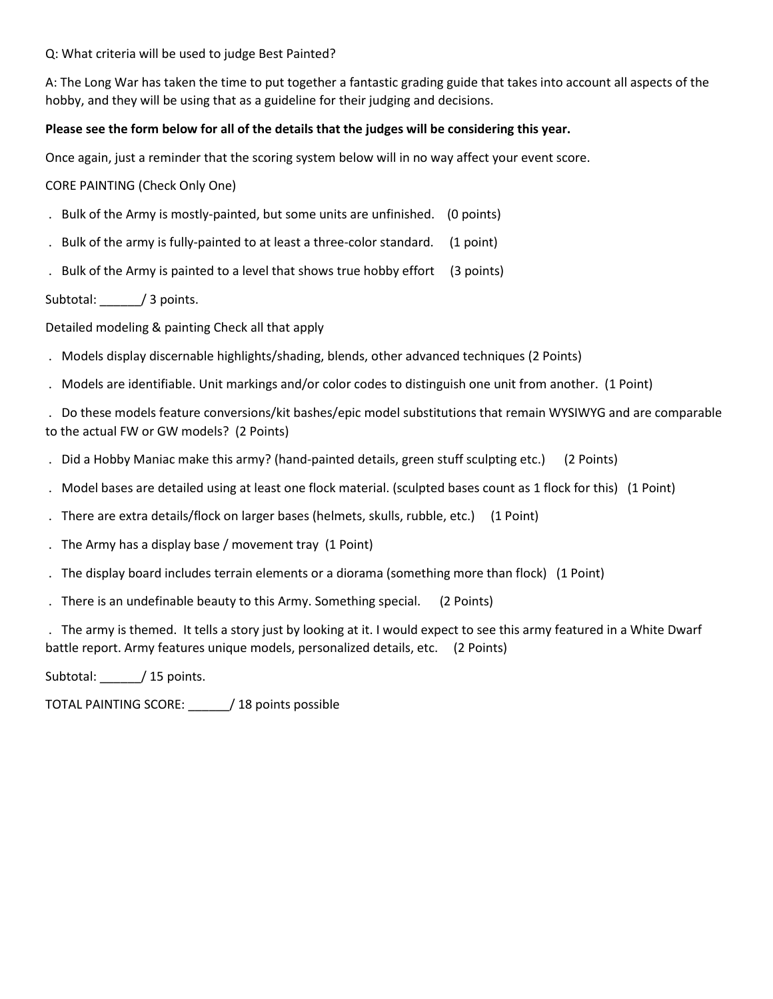Q: What criteria will be used to judge Best Painted?

A: The Long War has taken the time to put together a fantastic grading guide that takes into account all aspects of the hobby, and they will be using that as a guideline for their judging and decisions.

#### **Please see the form below for all of the details that the judges will be considering this year.**

Once again, just a reminder that the scoring system below will in no way affect your event score.

CORE PAINTING (Check Only One)

- . Bulk of the Army is mostly-painted, but some units are unfinished. (0 points)
- . Bulk of the army is fully-painted to at least a three-color standard. (1 point)
- . Bulk of the Army is painted to a level that shows true hobby effort (3 points)

#### Subtotal: / 3 points.

Detailed modeling & painting Check all that apply

- . Models display discernable highlights/shading, blends, other advanced techniques (2 Points)
- . Models are identifiable. Unit markings and/or color codes to distinguish one unit from another. (1 Point)

. Do these models feature conversions/kit bashes/epic model substitutions that remain WYSIWYG and are comparable to the actual FW or GW models? (2 Points)

- . Did a Hobby Maniac make this army? (hand-painted details, green stuff sculpting etc.) (2 Points)
- . Model bases are detailed using at least one flock material. (sculpted bases count as 1 flock for this) (1 Point)
- . There are extra details/flock on larger bases (helmets, skulls, rubble, etc.) (1 Point)
- . The Army has a display base / movement tray (1 Point)
- . The display board includes terrain elements or a diorama (something more than flock) (1 Point)
- . There is an undefinable beauty to this Army. Something special. (2 Points)

. The army is themed. It tells a story just by looking at it. I would expect to see this army featured in a White Dwarf battle report. Army features unique models, personalized details, etc. (2 Points)

Subtotal: / 15 points.

TOTAL PAINTING SCORE: \_\_\_\_\_\_/ 18 points possible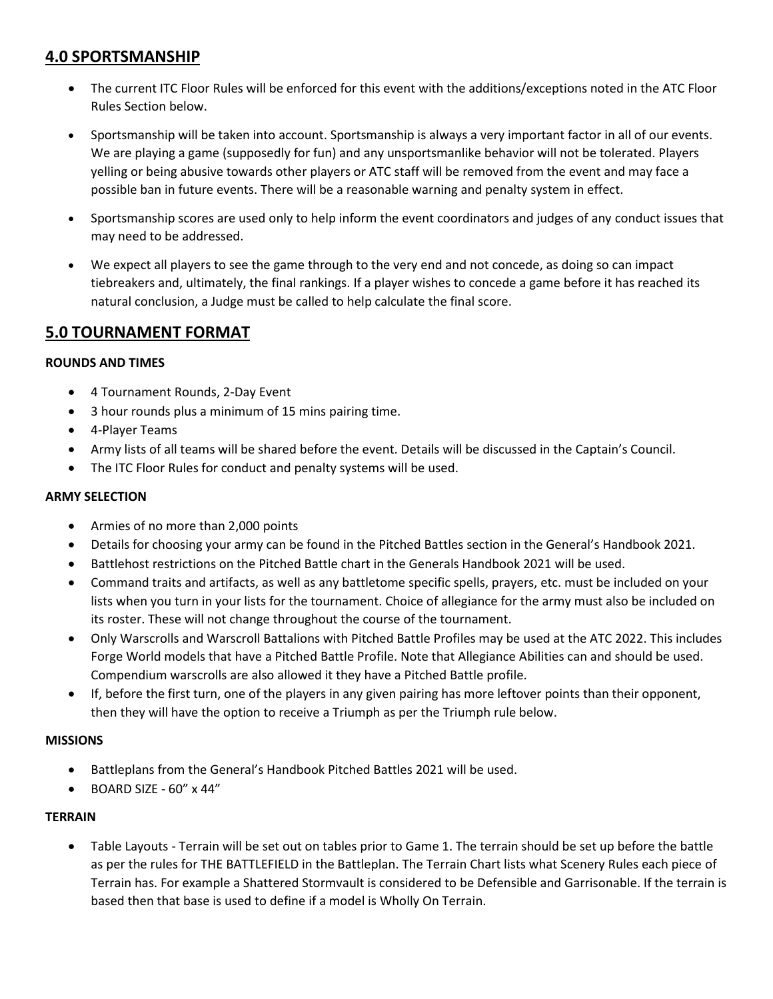## **4.0 SPORTSMANSHIP**

- The current ITC Floor Rules will be enforced for this event with the additions/exceptions noted in the ATC Floor Rules Section below.
- Sportsmanship will be taken into account. Sportsmanship is always a very important factor in all of our events. We are playing a game (supposedly for fun) and any unsportsmanlike behavior will not be tolerated. Players yelling or being abusive towards other players or ATC staff will be removed from the event and may face a possible ban in future events. There will be a reasonable warning and penalty system in effect.
- Sportsmanship scores are used only to help inform the event coordinators and judges of any conduct issues that may need to be addressed.
- We expect all players to see the game through to the very end and not concede, as doing so can impact tiebreakers and, ultimately, the final rankings. If a player wishes to concede a game before it has reached its natural conclusion, a Judge must be called to help calculate the final score.

## **5.0 TOURNAMENT FORMAT**

#### **ROUNDS AND TIMES**

- 4 Tournament Rounds, 2-Day Event
- 3 hour rounds plus a minimum of 15 mins pairing time.
- 4-Player Teams
- Army lists of all teams will be shared before the event. Details will be discussed in the Captain's Council.
- The ITC Floor Rules for conduct and penalty systems will be used.

#### **ARMY SELECTION**

- Armies of no more than 2,000 points
- Details for choosing your army can be found in the Pitched Battles section in the General's Handbook 2021.
- Battlehost restrictions on the Pitched Battle chart in the Generals Handbook 2021 will be used.
- Command traits and artifacts, as well as any battletome specific spells, prayers, etc. must be included on your lists when you turn in your lists for the tournament. Choice of allegiance for the army must also be included on its roster. These will not change throughout the course of the tournament.
- Only Warscrolls and Warscroll Battalions with Pitched Battle Profiles may be used at the ATC 2022. This includes Forge World models that have a Pitched Battle Profile. Note that Allegiance Abilities can and should be used. Compendium warscrolls are also allowed it they have a Pitched Battle profile.
- If, before the first turn, one of the players in any given pairing has more leftover points than their opponent, then they will have the option to receive a Triumph as per the Triumph rule below.

#### **MISSIONS**

- Battleplans from the General's Handbook Pitched Battles 2021 will be used.
- BOARD SIZE 60" x 44"

#### **TERRAIN**

• Table Layouts - Terrain will be set out on tables prior to Game 1. The terrain should be set up before the battle as per the rules for THE BATTLEFIELD in the Battleplan. The Terrain Chart lists what Scenery Rules each piece of Terrain has. For example a Shattered Stormvault is considered to be Defensible and Garrisonable. If the terrain is based then that base is used to define if a model is Wholly On Terrain.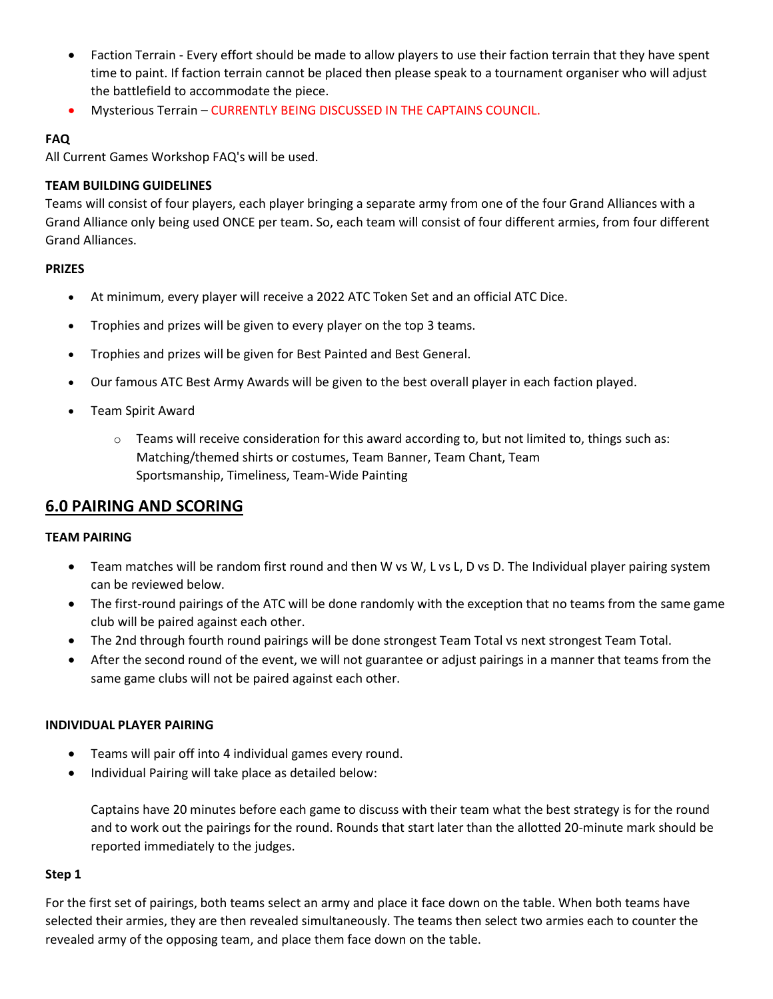- Faction Terrain Every effort should be made to allow players to use their faction terrain that they have spent time to paint. If faction terrain cannot be placed then please speak to a tournament organiser who will adjust the battlefield to accommodate the piece.
- Mysterious Terrain CURRENTLY BEING DISCUSSED IN THE CAPTAINS COUNCIL.

#### **FAQ**

All Current Games Workshop FAQ's will be used.

#### **TEAM BUILDING GUIDELINES**

Teams will consist of four players, each player bringing a separate army from one of the four Grand Alliances with a Grand Alliance only being used ONCE per team. So, each team will consist of four different armies, from four different Grand Alliances.

#### **PRIZES**

- At minimum, every player will receive a 2022 ATC Token Set and an official ATC Dice.
- Trophies and prizes will be given to every player on the top 3 teams.
- Trophies and prizes will be given for Best Painted and Best General.
- Our famous ATC Best Army Awards will be given to the best overall player in each faction played.
- Team Spirit Award
	- $\circ$  Teams will receive consideration for this award according to, but not limited to, things such as: Matching/themed shirts or costumes, Team Banner, Team Chant, Team Sportsmanship, Timeliness, Team-Wide Painting

## **6.0 PAIRING AND SCORING**

#### **TEAM PAIRING**

- Team matches will be random first round and then W vs W, L vs L, D vs D. The Individual player pairing system can be reviewed below.
- The first-round pairings of the ATC will be done randomly with the exception that no teams from the same game club will be paired against each other.
- The 2nd through fourth round pairings will be done strongest Team Total vs next strongest Team Total.
- After the second round of the event, we will not guarantee or adjust pairings in a manner that teams from the same game clubs will not be paired against each other.

#### **INDIVIDUAL PLAYER PAIRING**

- Teams will pair off into 4 individual games every round.
- Individual Pairing will take place as detailed below:

Captains have 20 minutes before each game to discuss with their team what the best strategy is for the round and to work out the pairings for the round. Rounds that start later than the allotted 20-minute mark should be reported immediately to the judges.

#### **Step 1**

For the first set of pairings, both teams select an army and place it face down on the table. When both teams have selected their armies, they are then revealed simultaneously. The teams then select two armies each to counter the revealed army of the opposing team, and place them face down on the table.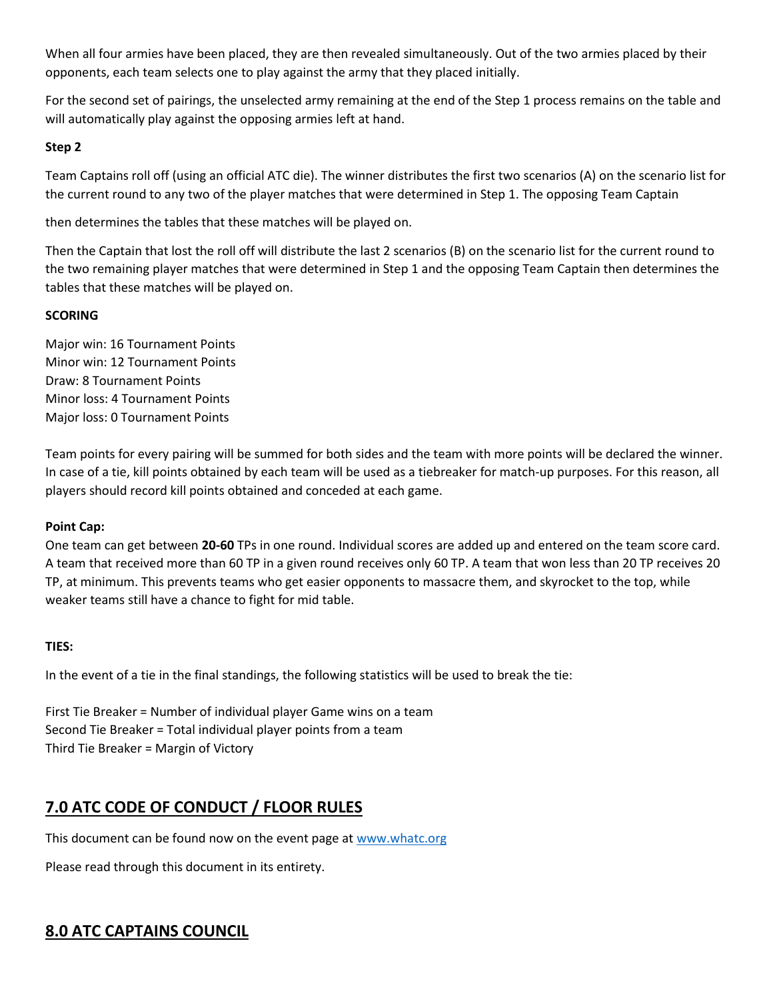When all four armies have been placed, they are then revealed simultaneously. Out of the two armies placed by their opponents, each team selects one to play against the army that they placed initially.

For the second set of pairings, the unselected army remaining at the end of the Step 1 process remains on the table and will automatically play against the opposing armies left at hand.

#### **Step 2**

Team Captains roll off (using an official ATC die). The winner distributes the first two scenarios (A) on the scenario list for the current round to any two of the player matches that were determined in Step 1. The opposing Team Captain

then determines the tables that these matches will be played on.

Then the Captain that lost the roll off will distribute the last 2 scenarios (B) on the scenario list for the current round to the two remaining player matches that were determined in Step 1 and the opposing Team Captain then determines the tables that these matches will be played on.

#### **SCORING**

Major win: 16 Tournament Points Minor win: 12 Tournament Points Draw: 8 Tournament Points Minor loss: 4 Tournament Points Major loss: 0 Tournament Points

Team points for every pairing will be summed for both sides and the team with more points will be declared the winner. In case of a tie, kill points obtained by each team will be used as a tiebreaker for match-up purposes. For this reason, all players should record kill points obtained and conceded at each game.

#### **Point Cap:**

One team can get between **20-60** TPs in one round. Individual scores are added up and entered on the team score card. A team that received more than 60 TP in a given round receives only 60 TP. A team that won less than 20 TP receives 20 TP, at minimum. This prevents teams who get easier opponents to massacre them, and skyrocket to the top, while weaker teams still have a chance to fight for mid table.

#### **TIES:**

In the event of a tie in the final standings, the following statistics will be used to break the tie:

First Tie Breaker = Number of individual player Game wins on a team Second Tie Breaker = Total individual player points from a team Third Tie Breaker = Margin of Victory

## **7.0 ATC CODE OF CONDUCT / FLOOR RULES**

This document can be found now on the event page a[t www.whatc.org](http://www.whatc.org/)

Please read through this document in its entirety.

## **8.0 ATC CAPTAINS COUNCIL**